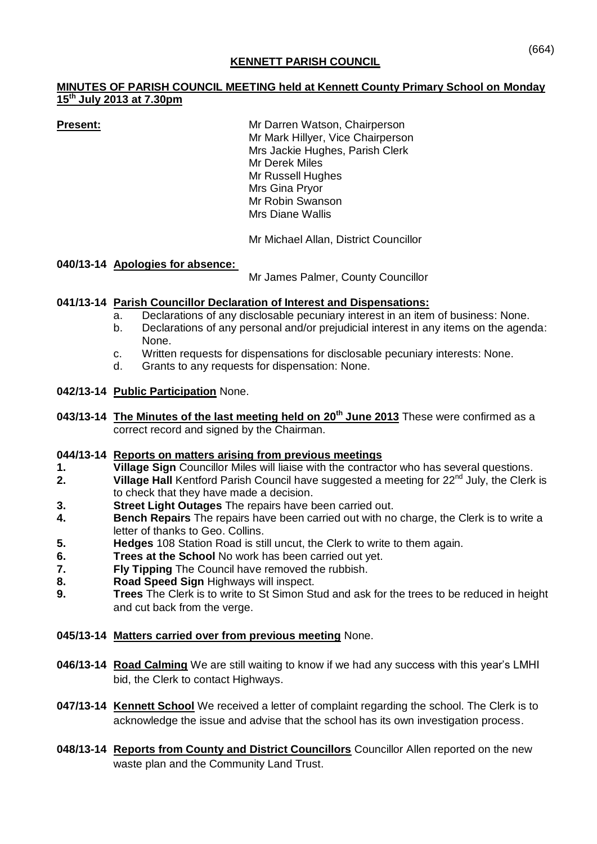## **KENNETT PARISH COUNCIL**

### **MINUTES OF PARISH COUNCIL MEETING held at Kennett County Primary School on Monday 15th July 2013 at 7.30pm**

**Present:** Mr Darren Watson, Chairperson Mr Mark Hillyer, Vice Chairperson Mrs Jackie Hughes, Parish Clerk Mr Derek Miles Mr Russell Hughes Mrs Gina Pryor Mr Robin Swanson Mrs Diane Wallis

Mr Michael Allan, District Councillor

# **040/13-14 Apologies for absence:**

Mr James Palmer, County Councillor

# **041/13-14 Parish Councillor Declaration of Interest and Dispensations:**

- a. Declarations of any disclosable pecuniary interest in an item of business: None.
- b. Declarations of any personal and/or prejudicial interest in any items on the agenda: None.
- c. Written requests for dispensations for disclosable pecuniary interests: None.
- d. Grants to any requests for dispensation: None.

# **042/13-14 Public Participation** None.

**043/13-14 The Minutes of the last meeting held on 20th June 2013** These were confirmed as a correct record and signed by the Chairman.

#### **044/13-14 Reports on matters arising from previous meetings**

- **1. Village Sign** Councillor Miles will liaise with the contractor who has several questions.<br> **2. Village Hall** Kentford Parish Council have suggested a meeting for 22<sup>nd</sup> July, the Clerk
- **Village Hall** Kentford Parish Council have suggested a meeting for 22<sup>nd</sup> July, the Clerk is to check that they have made a decision.
- **3. Street Light Outages** The repairs have been carried out.
- **4. Bench Repairs** The repairs have been carried out with no charge, the Clerk is to write a letter of thanks to Geo. Collins.
- **5. Hedges** 108 Station Road is still uncut, the Clerk to write to them again.
- **6. Trees at the School** No work has been carried out yet.
- **7. Fly Tipping** The Council have removed the rubbish.
- **8. Road Speed Sign** Highways will inspect.
- **9. Trees** The Clerk is to write to St Simon Stud and ask for the trees to be reduced in height and cut back from the verge.

# **045/13-14 Matters carried over from previous meeting** None.

- **046/13-14 Road Calming** We are still waiting to know if we had any success with this year's LMHI bid, the Clerk to contact Highways.
- **047/13-14 Kennett School** We received a letter of complaint regarding the school. The Clerk is to acknowledge the issue and advise that the school has its own investigation process.
- **048/13-14 Reports from County and District Councillors** Councillor Allen reported on the new waste plan and the Community Land Trust.